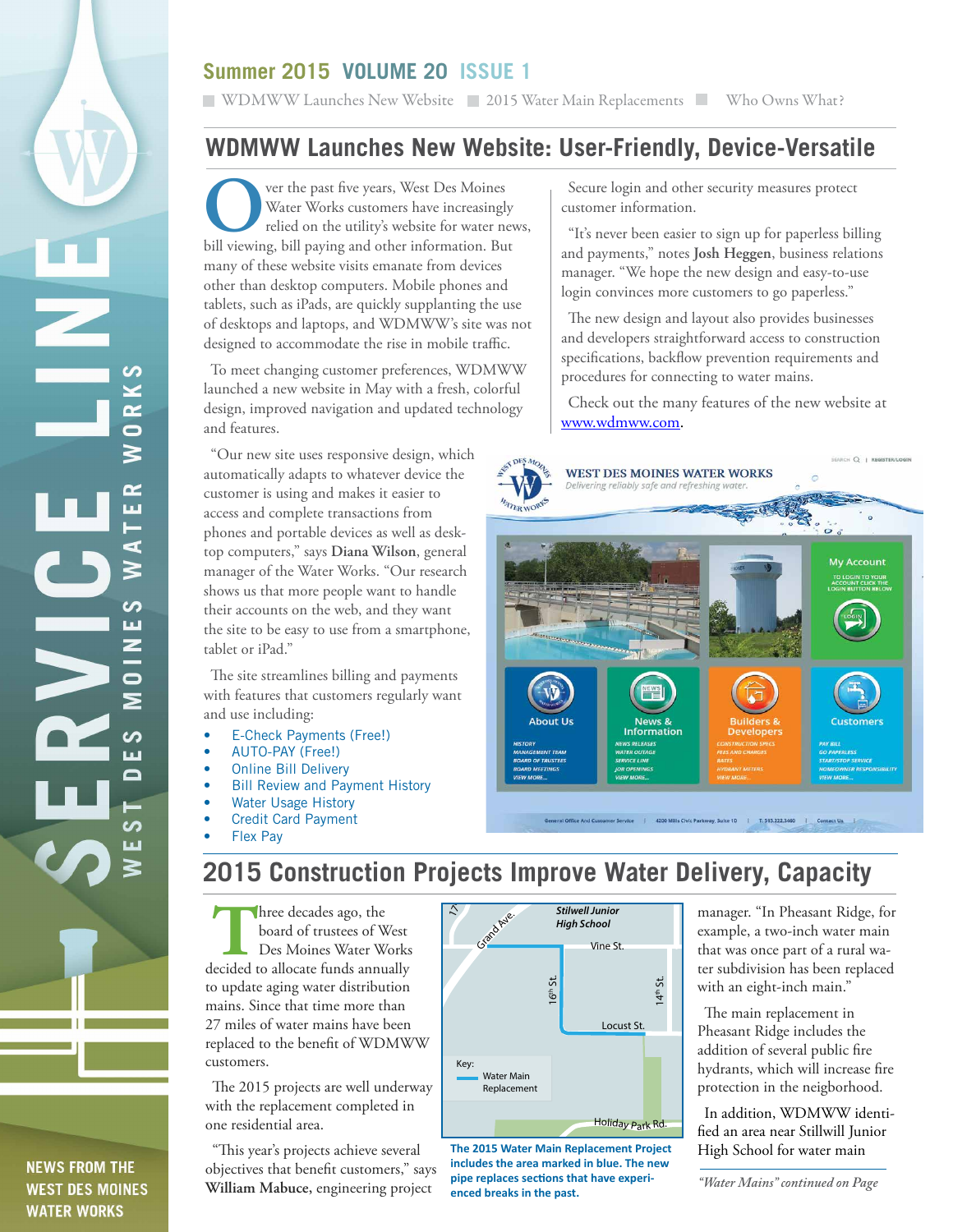## **Summer 2015 VOLUME 20 ISSUE 1**

**NEW WAY WE ARE NOT WORKER 2015 Water Main Replacements Who Owns What?** 

## **WDMWW Launches New Website: User-Friendly, Device-Versatile**

Ver the past five years, West Des Moines<br>Water Works customers have increasingly<br>relied on the utility's website for water no<br>bill viewing, bill paying and other information. But Water Works customers have increasingly relied on the utility's website for water news, bill viewing, bill paying and other information. But many of these website visits emanate from devices other than desktop computers. Mobile phones and tablets, such as iPads, are quickly supplanting the use of desktops and laptops, and WDMWW's site was not designed to accommodate the rise in mobile traffic.

To meet changing customer preferences, WDMWW launched a new website in May with a fresh, colorful design, improved navigation and updated technology and features.

"Our new site uses responsive design, which automatically adapts to whatever device the customer is using and makes it easier to access and complete transactions from phones and portable devices as well as desktop computers," says **Diana Wilson**, general manager of the Water Works. "Our research shows us that more people want to handle their accounts on the web, and they want the site to be easy to use from a smartphone, tablet or iPad."

The site streamlines billing and payments with features that customers regularly want and use including:

- E-Check Payments (Free!)
- AUTO-PAY (Free!)
- Online Bill Delivery
- **Bill Review and Payment History**
- **Water Usage History**
- Credit Card Payment
- **Flex Pay**

ທ Z

 $\overline{\bullet}$ 

ď

ဟ ய Z

 $\bullet$  $\overline{\phantom{1}}$ 

ပာ Ш  $\Box$ 

> ທ Ш

**NEWS FROM THE WEST DES MOINES WATER WORKS** 

# **2015 Construction Projects Improve Water Delivery, Capacity**

**Three decades ago, the board of trustees of West Des Moines Water Works decided to allocate funds annually** board of trustees of West Des Moines Water Works to update aging water distribution mains. Since that time more than 27 miles of water mains have been replaced to the benefit of WDMWW customers.

The 2015 projects are well underway with the replacement completed in one residential area.

"This year's projects achieve several objectives that benefit customers," says **William Mabuce,** engineering project



*Holiday Park* **The 2015 Water Main Replacement Project includes the area marked in blue. The new pipe replaces sections that have experienced breaks in the past.** *"Water Mains" continued on Page* 

Secure login and other security measures protect customer information.

"It's never been easier to sign up for paperless billing and payments," notes **Josh Heggen**, business relations manager. "We hope the new design and easy-to-use login convinces more customers to go paperless."

The new design and layout also provides businesses and developers straightforward access to construction specifications, backflow prevention requirements and procedures for connecting to water mains.

Check out the many features of the new website at www.wdmww.com.



er Service | 4200 Mills Civic Parkway, Suite 1D | T. 515.222.3460

manager. "In Pheasant Ridge, for example, a two-inch water main that was once part of a rural water subdivision has been replaced with an eight-inch main."

The main replacement in Pheasant Ridge includes the addition of several public fire hydrants, which will increase fire protection in the neigborhood.

In addition, WDMWW identified an area near Stillwill Junior High School for water main